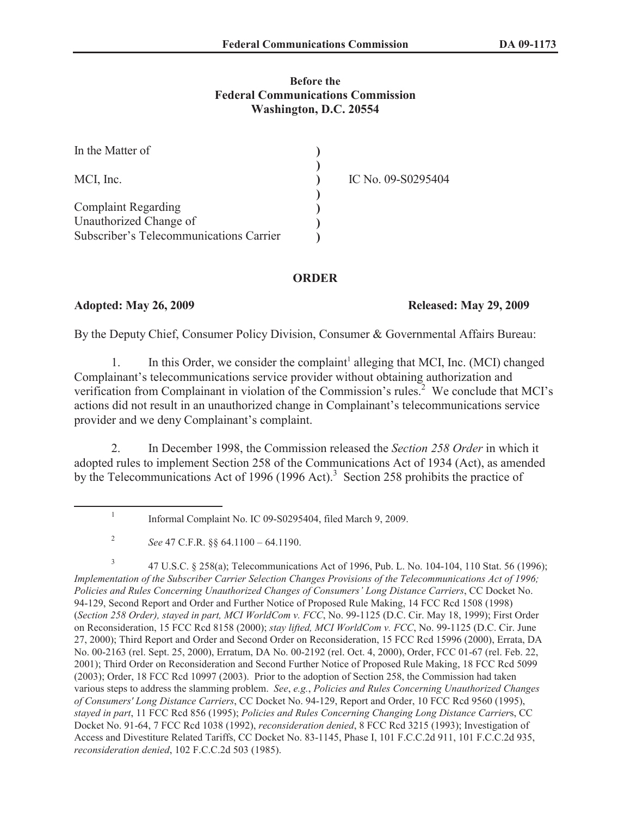## **Before the Federal Communications Commission Washington, D.C. 20554**

| In the Matter of                        |                    |
|-----------------------------------------|--------------------|
| MCI, Inc.                               | IC No. 09-S0295404 |
|                                         |                    |
| <b>Complaint Regarding</b>              |                    |
| Unauthorized Change of                  |                    |
| Subscriber's Telecommunications Carrier |                    |

## **ORDER**

## **Adopted: May 26, 2009 Released: May 29, 2009**

By the Deputy Chief, Consumer Policy Division, Consumer & Governmental Affairs Bureau:

1. In this Order, we consider the complaint<sup>1</sup> alleging that MCI, Inc. (MCI) changed Complainant's telecommunications service provider without obtaining authorization and verification from Complainant in violation of the Commission's rules.<sup>2</sup> We conclude that MCI's actions did not result in an unauthorized change in Complainant's telecommunications service provider and we deny Complainant's complaint.

2. In December 1998, the Commission released the *Section 258 Order* in which it adopted rules to implement Section 258 of the Communications Act of 1934 (Act), as amended by the Telecommunications Act of 1996 (1996 Act).<sup>3</sup> Section 258 prohibits the practice of

3 47 U.S.C. § 258(a); Telecommunications Act of 1996, Pub. L. No. 104-104, 110 Stat. 56 (1996); *Implementation of the Subscriber Carrier Selection Changes Provisions of the Telecommunications Act of 1996; Policies and Rules Concerning Unauthorized Changes of Consumers' Long Distance Carriers*, CC Docket No. 94-129, Second Report and Order and Further Notice of Proposed Rule Making, 14 FCC Rcd 1508 (1998) (*Section 258 Order), stayed in part, MCI WorldCom v. FCC*, No. 99-1125 (D.C. Cir. May 18, 1999); First Order on Reconsideration, 15 FCC Rcd 8158 (2000); *stay lifted, MCI WorldCom v. FCC*, No. 99-1125 (D.C. Cir. June 27, 2000); Third Report and Order and Second Order on Reconsideration, 15 FCC Rcd 15996 (2000), Errata, DA No. 00-2163 (rel. Sept. 25, 2000), Erratum, DA No. 00-2192 (rel. Oct. 4, 2000), Order, FCC 01-67 (rel. Feb. 22, 2001); Third Order on Reconsideration and Second Further Notice of Proposed Rule Making, 18 FCC Rcd 5099 (2003); Order, 18 FCC Rcd 10997 (2003). Prior to the adoption of Section 258, the Commission had taken various steps to address the slamming problem. *See*, *e.g.*, *Policies and Rules Concerning Unauthorized Changes of Consumers' Long Distance Carriers*, CC Docket No. 94-129, Report and Order, 10 FCC Rcd 9560 (1995), *stayed in part*, 11 FCC Rcd 856 (1995); *Policies and Rules Concerning Changing Long Distance Carrier*s, CC Docket No. 91-64, 7 FCC Rcd 1038 (1992), *reconsideration denied*, 8 FCC Rcd 3215 (1993); Investigation of Access and Divestiture Related Tariffs, CC Docket No. 83-1145, Phase I, 101 F.C.C.2d 911, 101 F.C.C.2d 935, *reconsideration denied*, 102 F.C.C.2d 503 (1985).

<sup>1</sup> Informal Complaint No. IC 09-S0295404, filed March 9, 2009.

<sup>2</sup> *See* 47 C.F.R. §§ 64.1100 – 64.1190.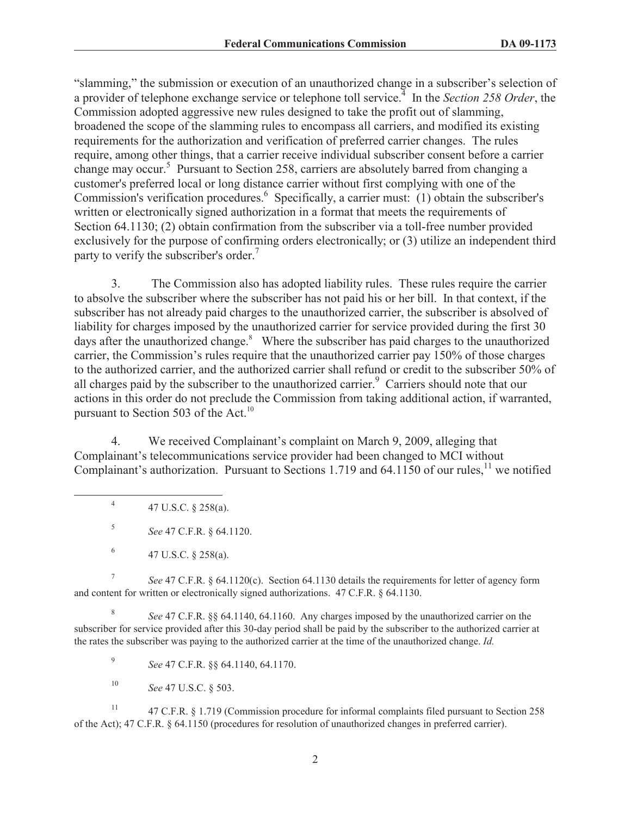"slamming," the submission or execution of an unauthorized change in a subscriber's selection of a provider of telephone exchange service or telephone toll service.<sup>4</sup> In the *Section 258 Order*, the Commission adopted aggressive new rules designed to take the profit out of slamming, broadened the scope of the slamming rules to encompass all carriers, and modified its existing requirements for the authorization and verification of preferred carrier changes. The rules require, among other things, that a carrier receive individual subscriber consent before a carrier change may occur.<sup>5</sup> Pursuant to Section 258, carriers are absolutely barred from changing a customer's preferred local or long distance carrier without first complying with one of the Commission's verification procedures.<sup>6</sup> Specifically, a carrier must: (1) obtain the subscriber's written or electronically signed authorization in a format that meets the requirements of Section 64.1130; (2) obtain confirmation from the subscriber via a toll-free number provided exclusively for the purpose of confirming orders electronically; or (3) utilize an independent third party to verify the subscriber's order.<sup>7</sup>

3. The Commission also has adopted liability rules. These rules require the carrier to absolve the subscriber where the subscriber has not paid his or her bill. In that context, if the subscriber has not already paid charges to the unauthorized carrier, the subscriber is absolved of liability for charges imposed by the unauthorized carrier for service provided during the first 30 days after the unauthorized change. $8$  Where the subscriber has paid charges to the unauthorized carrier, the Commission's rules require that the unauthorized carrier pay 150% of those charges to the authorized carrier, and the authorized carrier shall refund or credit to the subscriber 50% of all charges paid by the subscriber to the unauthorized carrier.<sup>9</sup> Carriers should note that our actions in this order do not preclude the Commission from taking additional action, if warranted, pursuant to Section 503 of the Act.<sup>10</sup>

4. We received Complainant's complaint on March 9, 2009, alleging that Complainant's telecommunications service provider had been changed to MCI without Complainant's authorization. Pursuant to Sections 1.719 and 64.1150 of our rules,<sup>11</sup> we notified

7 *See* 47 C.F.R. § 64.1120(c). Section 64.1130 details the requirements for letter of agency form and content for written or electronically signed authorizations. 47 C.F.R. § 64.1130.

8 *See* 47 C.F.R. §§ 64.1140, 64.1160. Any charges imposed by the unauthorized carrier on the subscriber for service provided after this 30-day period shall be paid by the subscriber to the authorized carrier at the rates the subscriber was paying to the authorized carrier at the time of the unauthorized change. *Id.*

9 *See* 47 C.F.R. §§ 64.1140, 64.1170.

<sup>10</sup> *See* 47 U.S.C. § 503.

<sup>11</sup> 47 C.F.R. § 1.719 (Commission procedure for informal complaints filed pursuant to Section 258 of the Act); 47 C.F.R. § 64.1150 (procedures for resolution of unauthorized changes in preferred carrier).

<sup>4</sup> 47 U.S.C. § 258(a).

<sup>5</sup> *See* 47 C.F.R. § 64.1120.

<sup>6</sup> 47 U.S.C. § 258(a).